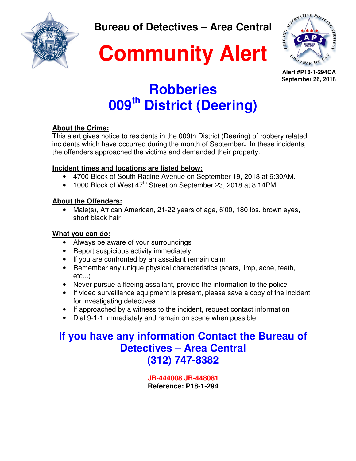

**Bureau of Detectives – Area Central** 



**Alert #P18-1-294CA September 26, 2018** 

## **Robberies 009th District (Deering)**

### **About the Crime:**

This alert gives notice to residents in the 009th District (Deering) of robbery related incidents which have occurred during the month of September**.** In these incidents, the offenders approached the victims and demanded their property.

### **Incident times and locations are listed below:**

- 4700 Block of South Racine Avenue on September 19, 2018 at 6:30AM.
- 1000 Block of West 47<sup>th</sup> Street on September 23, 2018 at 8:14PM

### **About the Offenders:**

• Male(s), African American, 21-22 years of age, 6'00, 180 lbs, brown eyes, short black hair

### **What you can do:**

- Always be aware of your surroundings
- Report suspicious activity immediately
- If you are confronted by an assailant remain calm
- Remember any unique physical characteristics (scars, limp, acne, teeth, etc...)
- Never pursue a fleeing assailant, provide the information to the police
- If video surveillance equipment is present, please save a copy of the incident for investigating detectives
- If approached by a witness to the incident, request contact information
- Dial 9-1-1 immediately and remain on scene when possible

### **If you have any information Contact the Bureau of Detectives – Area Central (312) 747-8382**

**JB-444008 JB-448081 Reference: P18-1-294**